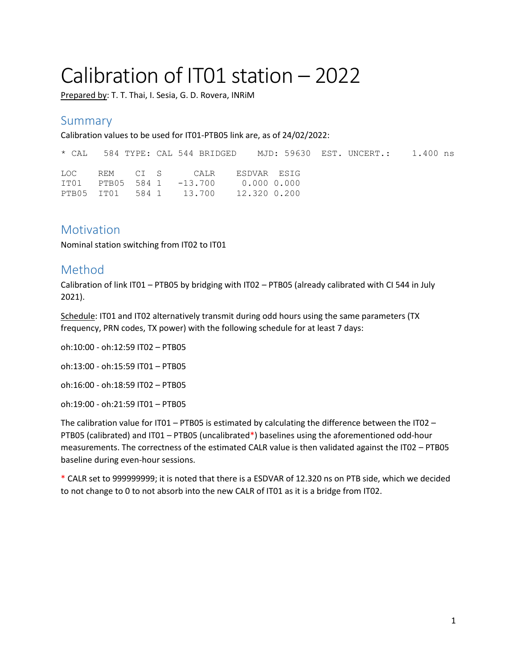# Calibration of IT01 station – 2022

Prepared by: T. T. Thai, I. Sesia, G. D. Rovera, INRIM

## Summary

Calibration values to be used for IT01-PTB05 link are, as of 24/02/2022:

\* CAL 584 TYPE: CAL 544 BRIDGED MJD: 59630 EST. UNCERT.: 1.400 ns LOC REM CI S CALR ESDVAR ESIG IT01 PTB05 584 1 -13.700 0.000 0.000 PTB05 IT01 584 1 13.700 12.320 0.200

#### **Motivation**

Nominal station switching from IT02 to IT01

## Method

Calibration of link IT01 – PTB05 by bridging with IT02 – PTB05 (already calibrated with CI 544 in July 2021).

Schedule: IT01 and IT02 alternatively transmit during odd hours using the same parameters (TX frequency, PRN codes, TX power) with the following schedule for at least 7 days:

oh:10:00 - oh:12:59 IT02 – PTB05

oh:13:00 - oh:15:59 IT01 – PTB05

oh:16:00 - oh:18:59 IT02 – PTB05

oh:19:00 - oh:21:59 IT01 – PTB05

The calibration value for IT01 – PTB05 is estimated by calculating the difference between the IT02 – PTB05 (calibrated) and IT01 – PTB05 (uncalibrated\*) baselines using the aforementioned odd-hour measurements. The correctness of the estimated CALR value is then validated against the IT02 – PTB05 baseline during even-hour sessions.

\* CALR set to 999999999; it is noted that there is a ESDVAR of 12.320 ns on PTB side, which we decided to not change to 0 to not absorb into the new CALR of IT01 as it is a bridge from IT02.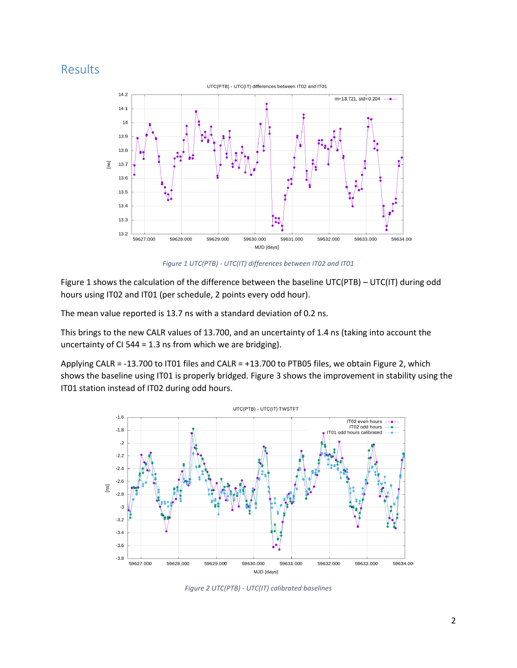# Results



*Figure 1 UTC(PTB) - UTC(IT) differences between IT02 and IT01*

<span id="page-1-0"></span>[Figure 1](#page-1-0) shows the calculation of the difference between the baseline UTC(PTB) – UTC(IT) during odd hours using IT02 and IT01 (per schedule, 2 points every odd hour).

The mean value reported is 13.7 ns with a standard deviation of 0.2 ns.

This brings to the new CALR values of 13.700, and an uncertainty of 1.4 ns (taking into account the uncertainty of CI 544 = 1.3 ns from which we are bridging).

Applying CALR = -13.700 to IT01 files and CALR = +13.700 to PTB05 files, we obtain [Figure 2,](#page-1-1) which shows the baseline using IT01 is properly bridged. [Figure 3](#page-2-0) shows the improvement in stability using the IT01 station instead of IT02 during odd hours.



<span id="page-1-1"></span>*Figure 2 UTC(PTB) - UTC(IT) calibrated baselines*